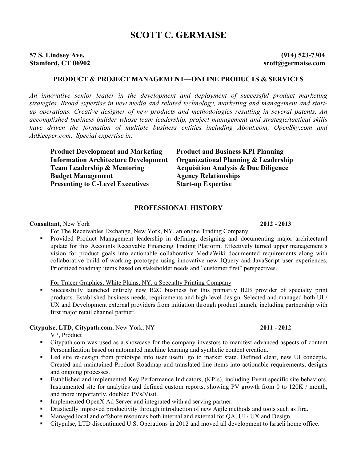# **SCOTT C. GERMAISE**

# **57 S. Lindsey Ave. (914) 523-7304**

**Stamford, CT 06902 scott@germaise.com**

## **PRODUCT & PROJECT MANAGEMENT—ONLINE PRODUCTS & SERVICES**

*An innovative senior leader in the development and deployment of successful product marketing strategies. Broad expertise in new media and related technology, marketing and management and startup operations. Creative designer of new products and methodologies resulting in several patents. An accomplished business builder whose team leadership, project management and strategic/tactical skills have driven the formation of multiple business entities including About.com, OpenSky.com and AdKeeper.com. Special expertise in:*

**Product Development and Marketing Product and Business KPI Planning Team Leadership & Mentoring Acquisition Analysis & Due Diligence Budget Management Agency Relationships Presenting to C-Level Executives Start-up Expertise**

**Information Architecture Development Organizational Planning & Leadership**

### **PROFESSIONAL HISTORY**

**Consultant**, New York **2012 - 2013**

For The Receivables Exchange, New York, NY, an online Trading Company

 Provided Product Management leadership in defining, designing and documenting major architectural update for this Accounts Receivable Financing Trading Platform. Effectively turned upper management's vision for product goals into actionable collaborative MediaWiki documented requirements along with collaborative build of working prototype using innovative new JQuery and JavaScript user experiences. Prioritized roadmap items based on stakeholder needs and "customer first" perspectives.

For Tracer Graphics, White Plains, NY, a Specialty Printing Company

 Successfully launched entirely new B2C business for this primarily B2B provider of specialty print products. Established business needs, requirements and high level design. Selected and managed both UI / UX and Development external providers from initiation through product launch, including partnership with first major retail channel partner.

### **Citypulse, LTD, Citypath.com**, New York, NY **2011 - 2012**

VP, Product

- Citypath.com was used as a showcase for the company investors to manifest advanced aspects of content Personalization based on automated machine learning and synthetic content creation.
- Led site re-design from prototype into user useful go to market state. Defined clear, new UI concepts, Created and maintained Product Roadmap and translated line items into actionable requirements, designs and ongoing processes.
- Established and implemented Key Performance Indicators, (KPIs), including Event specific site behaviors. Instrumented site for analytics and defined custom reports, showing PV growth from 0 to 120K / month, and more importantly, doubled PVs/Visit.
- Implemented OpenX Ad Server and integrated with ad serving partner.
- Drastically improved productivity through introduction of new Agile methods and tools such as Jira.
- Managed local and offshore resources both internal and external for QA, UI / UX and Design.
- Citypulse, LTD discontinued U.S. Operations in 2012 and moved all development to Israeli home office.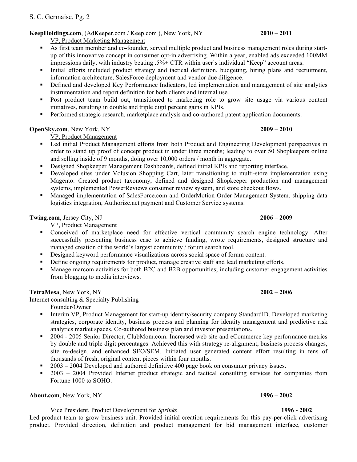### **KeepHoldings.com**, (AdKeeper.com / Keep.com ), New York, NY **2010 – 2011**

VP, Product Marketing Management

- As first team member and co-founder, served multiple product and business management roles during startup of this innovative concept in consumer opt-in advertising. Within a year, enabled ads exceeded 100MM impressions daily, with industry beating .5%+ CTR within user's individual "Keep" account areas.
- Initial efforts included product strategy and tactical definition, budgeting, hiring plans and recruitment, information architecture, SalesForce deployment and vendor due diligence.
- Defined and developed Key Performance Indicators, led implementation and management of site analytics instrumentation and report definition for both clients and internal use.
- **Post product team build out, transitioned to marketing role to grow site usage via various content** initiatives, resulting in double and triple digit percent gains in KPIs.
- **Performed strategic research, marketplace analysis and co-authored patent application documents.**

# **OpenSky.com**, New York, NY **2009 – 2010**

VP, Product Management

- Led initial Product Management efforts from both Product and Engineering Development perspectives in order to stand up proof of concept product in under three months; leading to over 50 Shopkeepers online and selling inside of 9 months, doing over 10,000 orders / month in aggregate.
- Designed Shopkeeper Management Dashboards, defined initial KPIs and reporting interface.
- Developed sites under Volusion Shopping Cart, later transitioning to multi-store implementation using Magento. Created product taxonomy, defined and designed Shopkeeper production and management systems, implemented PowerReviews consumer review system, and store checkout flows.
- Managed implementation of SalesForce.com and OrderMotion Order Management System, shipping data logistics integration, Authorize.net payment and Customer Service systems.

**Twing.com**, Jersey City, NJ **2006 – 2009**

VP, Product Management

- Conceived of marketplace need for effective vertical community search engine technology. After successfully presenting business case to achieve funding, wrote requirements, designed structure and managed creation of the world's largest community / forum search tool.
- Designed keyword performance visualizations across social space of forum content.
- Define ongoing requirements for product, manage creative staff and lead marketing efforts.
- Manage marcom activities for both B2C and B2B opportunities; including customer engagement activities from blogging to media interviews.

**TetraMesa**, New York, NY **2002 – 2006**

Internet consulting & Specialty Publishing

Founder/Owner

- Interim VP, Product Management for start-up identity/security company StandardID. Developed marketing strategies, corporate identity, business process and planning for identity management and predictive risk analytics market spaces. Co-authored business plan and investor presentations.
- <sup>2004</sup> 2005 Senior Director, ClubMom.com. Increased web site and eCommerce key performance metrics by double and triple digit percentages. Achieved this with strategy re-alignment, business process changes, site re-design, and enhanced SEO/SEM. Initiated user generated content effort resulting in tens of thousands of fresh, original content pieces within four months.
- 2003 2004 Developed and authored definitive 400 page book on consumer privacy issues.
- <sup>2003</sup> 2004 Provided Internet product strategic and tactical consulting services for companies from Fortune 1000 to SOHO.

**About.com**, New York, NY **1996 – 2002**

### Vice President, Product Development for *Sprinks* **1996 - 2002**

Led product team to grow business unit. Provided initial creation requirements for this pay-per-click advertising product. Provided direction, definition and product management for bid management interface, customer